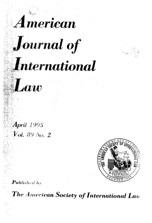







April 1995  $Val.$  89 No. 2



**Published by** 

The American Society of International Law